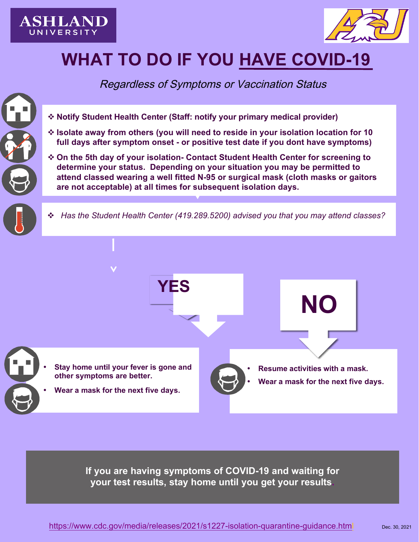



# **WHAT TO DO IF YOU HAVE COVID-19**

Regardless of Symptoms or Vaccination Status

#### **ô Contact Student Health Center**

**Isolate away from others (you will need to reside in your isolation location for 10 full days after symptom onset - or positive test date if you don't have symptoms)**

**On the 5th day of your isolation- Please contact Student Health Center for a screening to determine your status. Depending on your situation you may be permitted to attend classes wearing a well fitting N-95 or surgical mask (cloth masks or gaitors are not acceptable) at all times during the subsequent isolation days.**

**ô** *Has the Student Health Center (419.289.5200) advised you that you may attend classes?*



- **Attend class wearing a well fitting N-95 mask - but do not attend activities that a mask cannot be worn.**
- **Do not eat with others return to your isolation location for meals and for sleeping until the end of your isolation.**
- **After isolation you may return to your normal dorm room and Covid-9 safe practices prior to isolation.**



- **Continue remote learning**
- **Follow Student Health Center guidance and the return to campus plan.**

### If youUVPSWRPVRI&RYGHWXURURUVHQ**t** any point **throughout the partial release - return to your isolation space and notify the Student Health Center**

https://www.cdc.gov/media/releases/2021/s1227-isolation-quarantine-guidance.html Dec. 30, 2021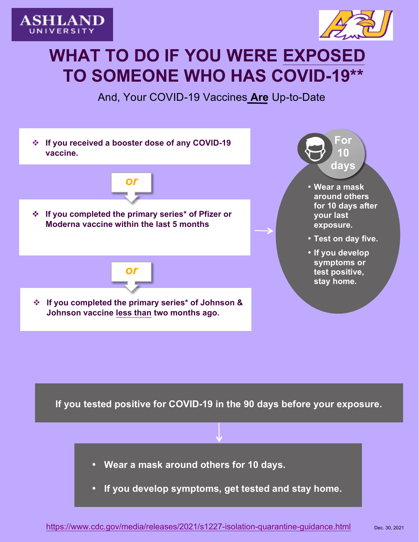



## **WHAT TO DO IF YOU WERE EXPOSED TO SOMEONE WHO HAS COVID-19\*\***

And, Your COVID-19 Vaccines *Are* Up-to-Date **Contact the Student Health Center**